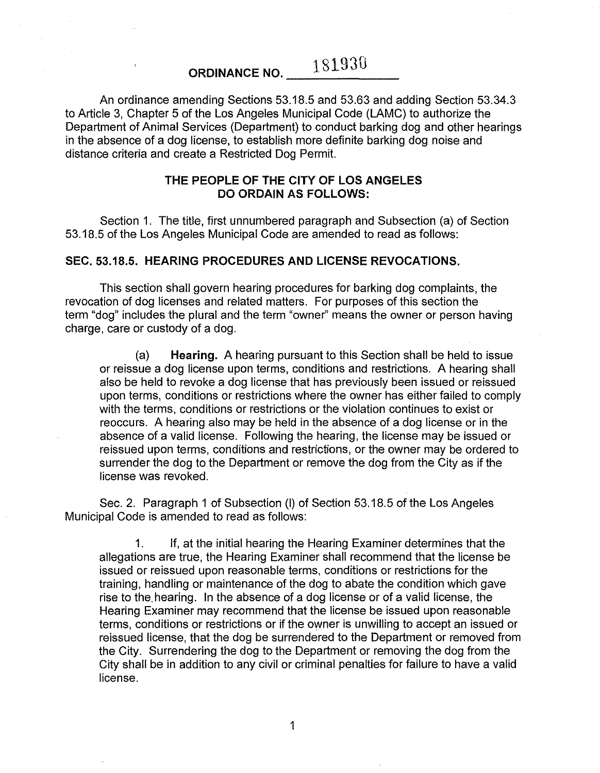# **ORDINANCE NO.**  $-$  181930

An ordinance amending Sections 53.18.5 and 53.63 and adding Section 53.34.3 to Article 3, Chapter 5 of the Los Angeles Municipal Code (LAMC) to authorize the Department of Animal Services (Department) to conduct barking dog and other hearings in the absence of a dog license, to establish more definite barking dog noise and distance criteria and create a Restricted Dog Permit.

# **THE PEOPLE OF THE CITY OF LOS ANGELES DO ORDAIN AS FOLLOWS:**

Section 1. The title, first unnumbered paragraph and Subsection (a) of Section 53.18.5 of the Los Angeles Municipal Code are amended to read as follows:

## **SEC. 53.18.5. HEARING PROCEDURES AND LICENSE REVOCATIONS.**

This section shall govern hearing procedures for barking dog complaints, the revocation of dog licenses and related matters. For purposes of this section the term "dog" includes the plural and the term "owner" means the owner or person having charge, care or custody of a dog.

(a) **Hearing.** A hearing pursuant to this Section shall be held to issue or reissue a dog license upon terms, conditions and restrictions. A hearing shall also be held to revoke a dog license that has previously been issued or reissued upon terms, conditions or restrictions where the owner has either failed to comply with the terms, conditions or restrictions or the violation continues to exist or reoccurs. A hearing also may be held in the absence of a dog license or in the absence of a valid license. Following the hearing, the license may be issued or reissued upon terms, conditions and restrictions, or the owner may be ordered to surrender the dog to the Department or remove the dog from the City as if the license was revoked.

Sec. 2. Paragraph 1 of Subsection (I) of Section 53.18.5 of the Los Angeles Municipal Code is amended to read as follows:

1. If, at the initial hearing the Hearing Examiner determines that the allegations are true, the Hearing Examiner shall recommend that the license be issued or reissued upon reasonable terms, conditions or restrictions for the training, handling or maintenance of the dog to abate the condition which gave rise to the. hearing. In the absence of a dog license or of a valid license, the Hearing Examiner may recommend that the license be issued upon reasonable terms, conditions or restrictions or if the owner is unwilling to accept an issued or reissued license, that the dog be surrendered to the Department or removed from the City. Surrendering the dog to the Department or removing the dog from the City shall be in addition to any civil or criminal penalties for failure to have a valid license.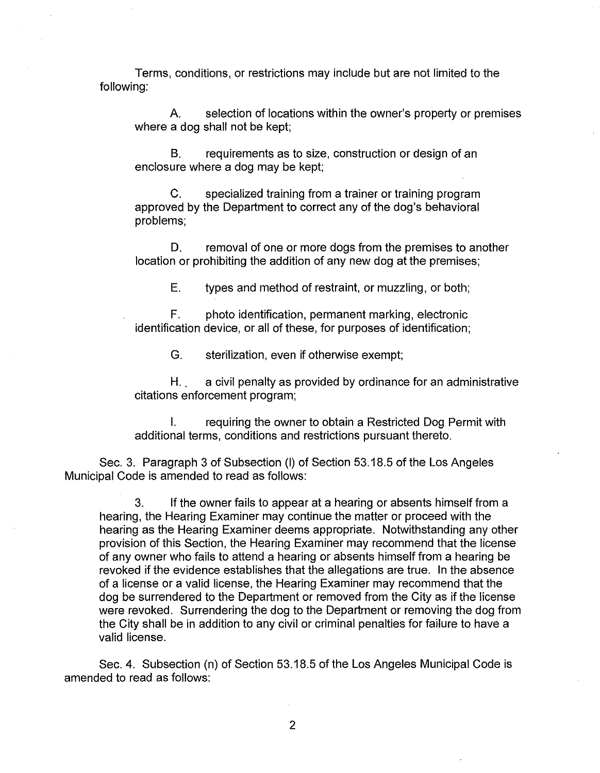Terms, conditions, or restrictions may include but are not limited to the following:

A. selection of locations within the owner's property or premises where a dog shall not be kept;

B. requirements as to size, construction or design of an enclosure where a dog may be kept;

C. specialized training from a trainer or training program approved by the Department to correct any of the dog's behavioral problems;

D. removal of one or more dogs from the premises to another location or prohibiting the addition of any new dog at the premises;

E. types and method of restraint, or muzzling, or both;

F. photo identification, permanent marking, electronic identification device, or all of these, for purposes of identification;

G. sterilization, even if otherwise exempt;

 $H_{\text{max}}$  a civil penalty as provided by ordinance for an administrative citations enforcement program;

I. requiring the owner to obtain a Restricted Dog Permit with additional terms, conditions and restrictions pursuant thereto.

Sec. 3. Paragraph 3 of Subsection (I) of Section 53.18.5 of the Los Angeles Municipal Code is amended to read as follows:

3. If the owner fails to appear at a hearing or absents himself from a hearing, the Hearing Examiner may continue the matter or proceed with the hearing as the Hearing Examiner deems appropriate. Notwithstanding any other provision of this Section, the Hearing Examiner may recommend that the license of any owner who fails to attend a hearing or absents himself from a hearing be revoked if the evidence establishes that the allegations are true. In the absence of a license or a valid license, the Hearing Examiner may recommend that the dog be surrendered to the Department or removed from the City as if the license were revoked. Surrendering the dog to the Department or removing the dog from the City shall be in addition to any civil or criminal penalties for failure to have a valid license.

Sec. 4. Subsection (n) of Section 53.18.5 of the Los Angeles Municipal Code is amended to read as follows: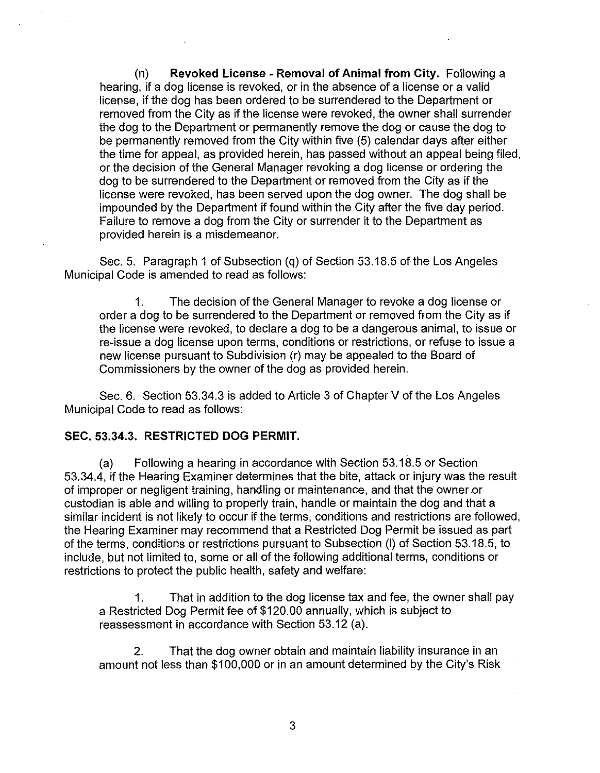(n) **Revoked License- Removal of Animal from City.** Following a hearing, if a dog license is revoked, or in the absence of a license or a valid license, if the dog has been ordered to be surrendered to the Department or removed from the City as if the license were revoked, the owner shall surrender the dog to the Department or permanently remove the dog or cause the dog to be permanently removed from the City within five (5) calendar days after either the time for appeal, as provided herein, has passed without an appeal being filed, or the decision of the General Manager revoking a dog license or ordering the dog to be surrendered to the Department or removed from the City as if the license were revoked, has been served upon the dog owner. The dog shall be impounded by the Department if found within the City after the five day period. Failure to remove a dog from the City or surrender it to the Department as provided herein is a misdemeanor.

Sec. 5. Paragraph 1 of Subsection (q) of Section 53.18.5 of the Los Angeles Municipal Code is amended to read as follows:

1. The decision of the General Manager to revoke a dog license or order a dog to be surrendered to the Department or removed from the City as if the license were revoked, to declare a dog to be a dangerous animal, to issue or re-issue a dog license upon terms, conditions or restrictions, or refuse to issue a new license pursuant to Subdivision (r) may be appealed to the Board of Commissioners by the owner of the dog as provided herein.

Sec. 6. Section 53.34.3 is added to Article 3 of Chapter V of the Los Angeles Municipal Code to read as follows:

#### **SEC. 53.34.3. RESTRICTED DOG PERMIT.**

(a) Following a hearing in accordance with Section 53.18.5 or Section 53.34.4, if the Hearing Examiner determines that the bite, attack or injury was the result of improper or negligent training, handling or maintenance, and that the owner or custodian is able and willing to properly train, handle or maintain the dog and that a similar incident is not likely to occur if the terms, conditions and restrictions are followed, the Hearing Examiner may recommend that a Restricted Dog Permit be issued as part of the terms, conditions or restrictions pursuant to Subsection (I) of Section 53.18.5, to include, but not limited to, some or all of the following additional terms, conditions or restrictions to protect the public health, safety and welfare:

1. That in addition to the dog license tax and fee, the owner shall pay a Restricted Dog Permit fee of \$120.00 annually, which is subject to reassessment in accordance with Section 53.12 (a).

2. That the dog owner obtain and maintain liability insurance in an amount not less than \$100,000 or in an amount determined by the City's Risk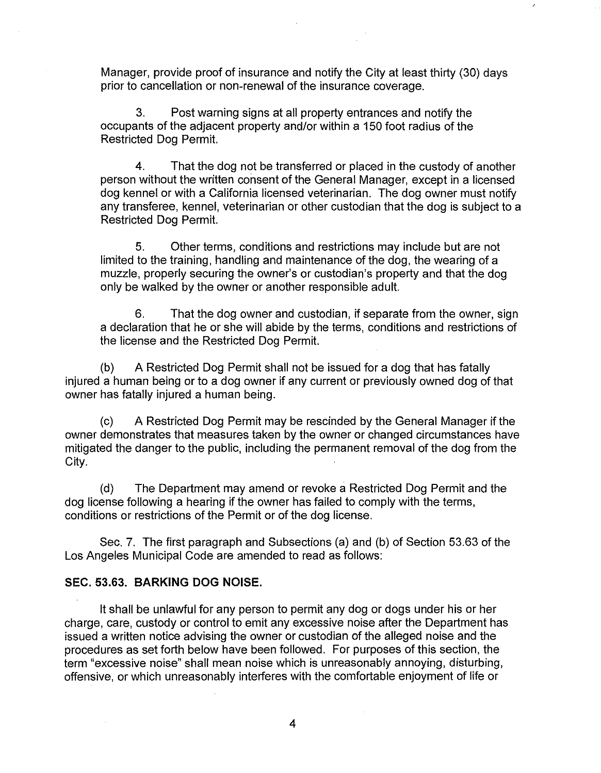Manager, provide proof of insurance and notify the City at least thirty (30) days prior to cancellation or non-renewal of the insurance coverage.

3. Post warning signs at all property entrances and notify the occupants of the adjacent property and/or within a 150 foot radius of the Restricted Dog Permit.

4. That the dog not be transferred or placed in the custody of another person without the written consent of the General Manager, except in a licensed dog kennel or with a California licensed veterinarian. The dog owner must notify any transferee, kennel, veterinarian or other custodian that the dog is subject to a Restricted Dog Permit.

5. Other terms, conditions and restrictions may include but are not limited to the training, handling and maintenance of the dog, the wearing of a muzzle, properly securing the owner's or custodian's property and that the dog only be walked by the owner or another responsible adult.

6. That the dog owner and custodian, if separate from the owner, sign a declaration that he or she will abide by the terms, conditions and restrictions of the license and the Restricted Dog Permit.

(b) A Restricted Dog Permit shall not be issued for a dog that has fatally injured a human being or to a dog owner if any current or previously owned dog of that owner has fatally injured a human being.

(c) A Restricted Dog Permit may be rescinded by the General Manager if the owner demonstrates that measures taken by the owner or changed circumstances have mitigated the danger to the public, including the permanent removal of the dog from the City.

(d) The Department may amend or revoke a Restricted Dog Permit and the dog license following a hearing if the owner has failed to comply with the terms, conditions or restrictions of the Permit or of the dog license.

Sec. 7. The first paragraph and Subsections (a) and (b) of Section 53.63 of the Los Angeles Municipal Code are amended to read as follows:

# **SEC. 53.63. BARKING DOG NOISE.**

It shall be unlawful for any person to permit any dog or dogs under his or her charge, care, custody or control to emit any excessive noise after the Department has issued a written notice advising the owner or custodian of the alleged noise and the procedures as set forth below have been followed. For purposes of this section, the term "excessive noise" shall mean noise which is unreasonably annoying, disturbing, offensive, or which unreasonably interferes with the comfortable enjoyment of life or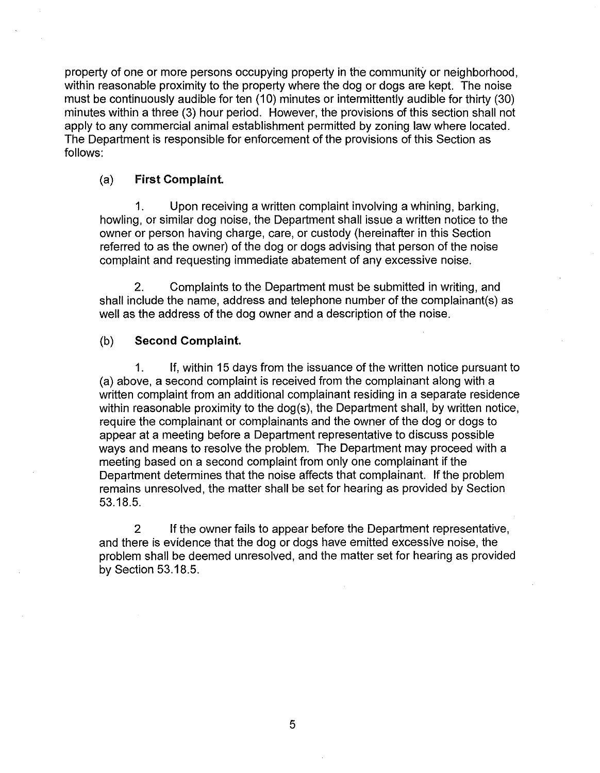property of one or more persons occupying property in the community or neighborhood, within reasonable proximity to the property where the dog or dogs are kept. The noise must be continuously audible for ten (10) minutes or intermittently audible for thirty (30) minutes within a three (3) hour period. However, the provisions of this section shall not apply to any commercial animal establishment permitted by zoning law where located. The Department is responsible for enforcement of the provisions of this Section as follows:

### (a) **First Complaint**

1. Upon receiving a written complaint involving a whining, barking, howling, or similar dog noise, the Department shall issue a written notice to the owner or person having charge, care, or custody (hereinafter in this Section referred to as the owner) of the dog or dogs advising that person of the noise complaint and requesting immediate abatement of any excessive noise.

2. Complaints to the Department must be submitted in writing, and shall include the name, address and telephone number of the complainant(s) as well as the address of the dog owner and a description of the noise.

## (b) **Second Complaint.**

1. If, within 15 days from the issuance of the written notice pursuant to (a) above, a second complaint is received from the complainant along with a written complaint from an additional complainant residing in a separate residence within reasonable proximity to the dog(s), the Department shall, by written notice, require the complainant or complainants and the owner of the dog or dogs to appear at a meeting before a Department representative to discuss possible ways and means to resolve the problem. The Department may proceed with a meeting based on a second complaint from only one complainant if the Department determines that the noise affects that complainant. If the problem remains unresolved, the matter shall be set for hearing as provided by Section 53.18.5.

2 If the owner fails to appear before the Department representative, and there is evidence that the dog or dogs have emitted excessive noise, the problem shall be deemed unresolved, and the matter set for hearing as provided by Section 53.18.5.